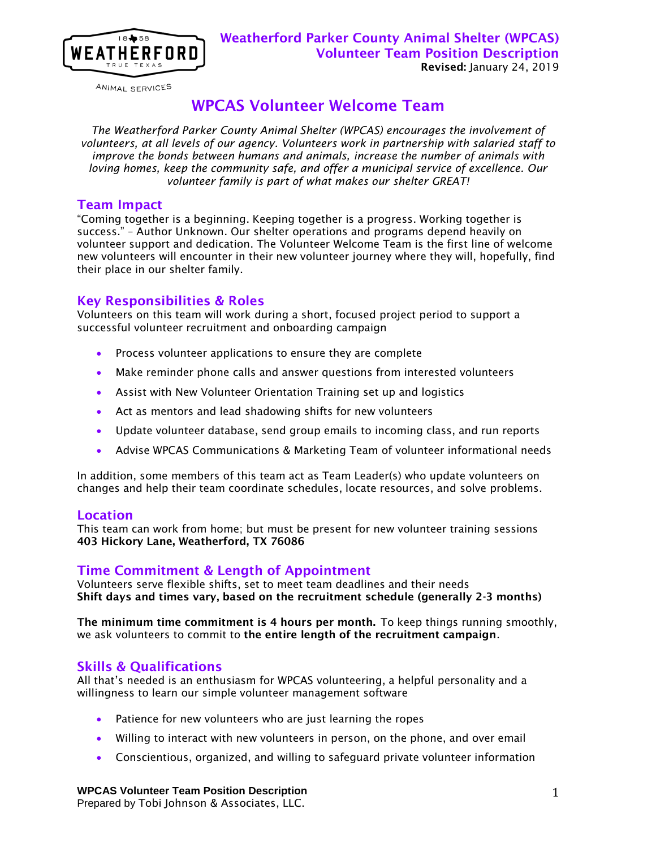

ANIMAL SERVICES

# WPCAS Volunteer Welcome Team

*The Weatherford Parker County Animal Shelter (WPCAS) encourages the involvement of volunteers, at all levels of our agency. Volunteers work in partnership with salaried staff to improve the bonds between humans and animals, increase the number of animals with loving homes, keep the community safe, and offer a municipal service of excellence. Our volunteer family is part of what makes our shelter GREAT!*

### Team Impact

"Coming together is a beginning. Keeping together is a progress. Working together is success." – Author Unknown. Our shelter operations and programs depend heavily on volunteer support and dedication. The Volunteer Welcome Team is the first line of welcome new volunteers will encounter in their new volunteer journey where they will, hopefully, find their place in our shelter family.

# Key Responsibilities & Roles

Volunteers on this team will work during a short, focused project period to support a successful volunteer recruitment and onboarding campaign

- **•** Process volunteer applications to ensure they are complete
- Make reminder phone calls and answer questions from interested volunteers
- Assist with New Volunteer Orientation Training set up and logistics
- Act as mentors and lead shadowing shifts for new volunteers
- Update volunteer database, send group emails to incoming class, and run reports
- Advise WPCAS Communications & Marketing Team of volunteer informational needs

In addition, some members of this team act as Team Leader(s) who update volunteers on changes and help their team coordinate schedules, locate resources, and solve problems.

### **Location**

This team can work from home; but must be present for new volunteer training sessions 403 Hickory Lane, Weatherford, TX 76086

# Time Commitment & Length of Appointment

Volunteers serve flexible shifts, set to meet team deadlines and their needs Shift days and times vary, based on the recruitment schedule (generally 2-3 months)

The minimum time commitment is 4 hours per month. To keep things running smoothly, we ask volunteers to commit to the entire length of the recruitment campaign.

# Skills & Qualifications

All that's needed is an enthusiasm for WPCAS volunteering, a helpful personality and a willingness to learn our simple volunteer management software

- Patience for new volunteers who are just learning the ropes
- Willing to interact with new volunteers in person, on the phone, and over email
- Conscientious, organized, and willing to safeguard private volunteer information

#### **WPCAS Volunteer Team Position Description**

Prepared by Tobi Johnson & Associates, LLC.